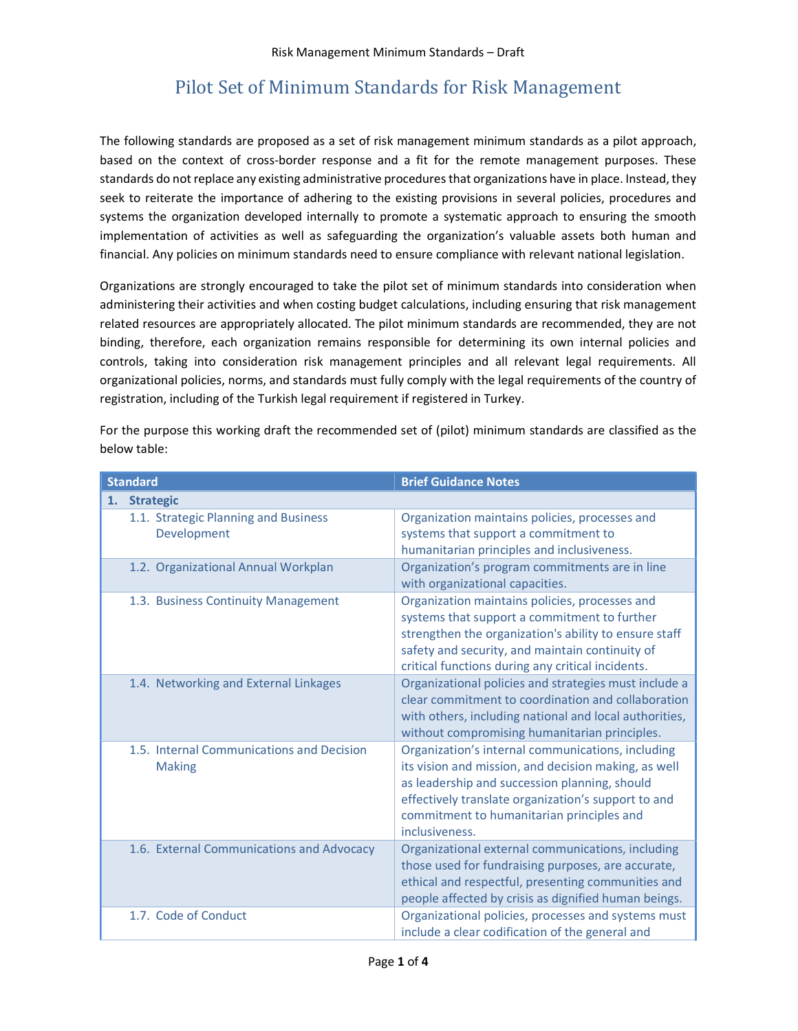## Pilot Set of Minimum Standards for Risk Management

The following standards are proposed as a set of risk management minimum standards as a pilot approach, based on the context of cross-border response and a fit for the remote management purposes. These standards do not replace any existing administrative procedures that organizations have in place. Instead, they seek to reiterate the importance of adhering to the existing provisions in several policies, procedures and systems the organization developed internally to promote a systematic approach to ensuring the smooth implementation of activities as well as safeguarding the organization's valuable assets both human and financial. Any policies on minimum standards need to ensure compliance with relevant national legislation.

Organizations are strongly encouraged to take the pilot set of minimum standards into consideration when administering their activities and when costing budget calculations, including ensuring that risk management related resources are appropriately allocated. The pilot minimum standards are recommended, they are not binding, therefore, each organization remains responsible for determining its own internal policies and controls, taking into consideration risk management principles and all relevant legal requirements. All organizational policies, norms, and standards must fully comply with the legal requirements of the country of registration, including of the Turkish legal requirement if registered in Turkey.

For the purpose this working draft the recommended set of (pilot) minimum standards are classified as the below table:

| <b>Standard</b>                                            | <b>Brief Guidance Notes</b>                                                                                                                                                                                                                                                      |
|------------------------------------------------------------|----------------------------------------------------------------------------------------------------------------------------------------------------------------------------------------------------------------------------------------------------------------------------------|
| <b>Strategic</b><br>1.                                     |                                                                                                                                                                                                                                                                                  |
| 1.1. Strategic Planning and Business<br>Development        | Organization maintains policies, processes and<br>systems that support a commitment to<br>humanitarian principles and inclusiveness.                                                                                                                                             |
| 1.2. Organizational Annual Workplan                        | Organization's program commitments are in line<br>with organizational capacities.                                                                                                                                                                                                |
| 1.3. Business Continuity Management                        | Organization maintains policies, processes and<br>systems that support a commitment to further<br>strengthen the organization's ability to ensure staff<br>safety and security, and maintain continuity of<br>critical functions during any critical incidents.                  |
| 1.4. Networking and External Linkages                      | Organizational policies and strategies must include a<br>clear commitment to coordination and collaboration<br>with others, including national and local authorities,<br>without compromising humanitarian principles.                                                           |
| 1.5. Internal Communications and Decision<br><b>Making</b> | Organization's internal communications, including<br>its vision and mission, and decision making, as well<br>as leadership and succession planning, should<br>effectively translate organization's support to and<br>commitment to humanitarian principles and<br>inclusiveness. |
| 1.6. External Communications and Advocacy                  | Organizational external communications, including<br>those used for fundraising purposes, are accurate,<br>ethical and respectful, presenting communities and<br>people affected by crisis as dignified human beings.                                                            |
| 1.7. Code of Conduct                                       | Organizational policies, processes and systems must<br>include a clear codification of the general and                                                                                                                                                                           |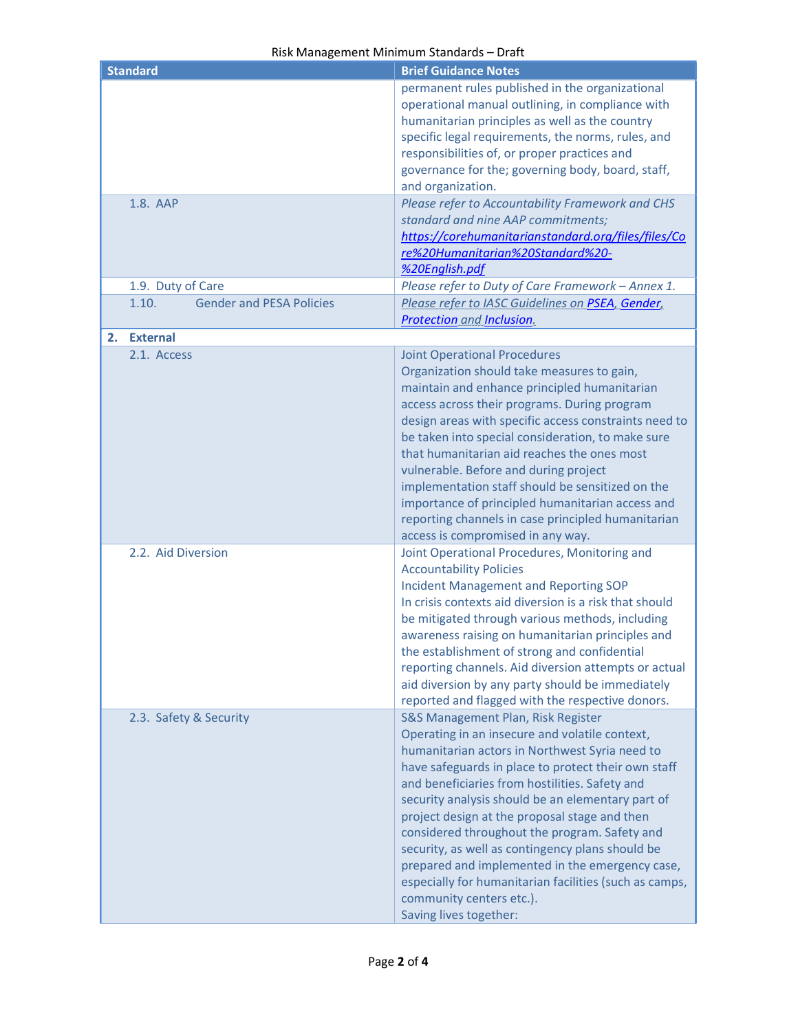## Risk Management Minimum Standards – Draft

| <b>Standard</b>                          | <b>Brief Guidance Notes</b>                            |
|------------------------------------------|--------------------------------------------------------|
|                                          |                                                        |
|                                          | permanent rules published in the organizational        |
|                                          | operational manual outlining, in compliance with       |
|                                          | humanitarian principles as well as the country         |
|                                          | specific legal requirements, the norms, rules, and     |
|                                          | responsibilities of, or proper practices and           |
|                                          | governance for the; governing body, board, staff,      |
|                                          | and organization.                                      |
| 1.8. AAP                                 | Please refer to Accountability Framework and CHS       |
|                                          | standard and nine AAP commitments;                     |
|                                          | https://corehumanitarianstandard.org/files/files/Co    |
|                                          | re%20Humanitarian%20Standard%20-                       |
|                                          |                                                        |
|                                          | %20English.pdf                                         |
| 1.9. Duty of Care                        | Please refer to Duty of Care Framework - Annex 1.      |
| <b>Gender and PESA Policies</b><br>1.10. | Please refer to IASC Guidelines on PSEA, Gender,       |
|                                          | <b>Protection and Inclusion.</b>                       |
| <b>External</b><br>2.                    |                                                        |
| 2.1. Access                              | <b>Joint Operational Procedures</b>                    |
|                                          | Organization should take measures to gain,             |
|                                          | maintain and enhance principled humanitarian           |
|                                          | access across their programs. During program           |
|                                          | design areas with specific access constraints need to  |
|                                          | be taken into special consideration, to make sure      |
|                                          |                                                        |
|                                          | that humanitarian aid reaches the ones most            |
|                                          | vulnerable. Before and during project                  |
|                                          | implementation staff should be sensitized on the       |
|                                          | importance of principled humanitarian access and       |
|                                          | reporting channels in case principled humanitarian     |
|                                          | access is compromised in any way.                      |
| 2.2. Aid Diversion                       | Joint Operational Procedures, Monitoring and           |
|                                          | <b>Accountability Policies</b>                         |
|                                          | <b>Incident Management and Reporting SOP</b>           |
|                                          | In crisis contexts aid diversion is a risk that should |
|                                          | be mitigated through various methods, including        |
|                                          | awareness raising on humanitarian principles and       |
|                                          | the establishment of strong and confidential           |
|                                          | reporting channels. Aid diversion attempts or actual   |
|                                          | aid diversion by any party should be immediately       |
|                                          |                                                        |
|                                          | reported and flagged with the respective donors.       |
| 2.3. Safety & Security                   | S&S Management Plan, Risk Register                     |
|                                          | Operating in an insecure and volatile context,         |
|                                          | humanitarian actors in Northwest Syria need to         |
|                                          | have safeguards in place to protect their own staff    |
|                                          | and beneficiaries from hostilities. Safety and         |
|                                          | security analysis should be an elementary part of      |
|                                          | project design at the proposal stage and then          |
|                                          | considered throughout the program. Safety and          |
|                                          | security, as well as contingency plans should be       |
|                                          | prepared and implemented in the emergency case,        |
|                                          |                                                        |
|                                          | especially for humanitarian facilities (such as camps, |
|                                          | community centers etc.).                               |
|                                          | Saving lives together:                                 |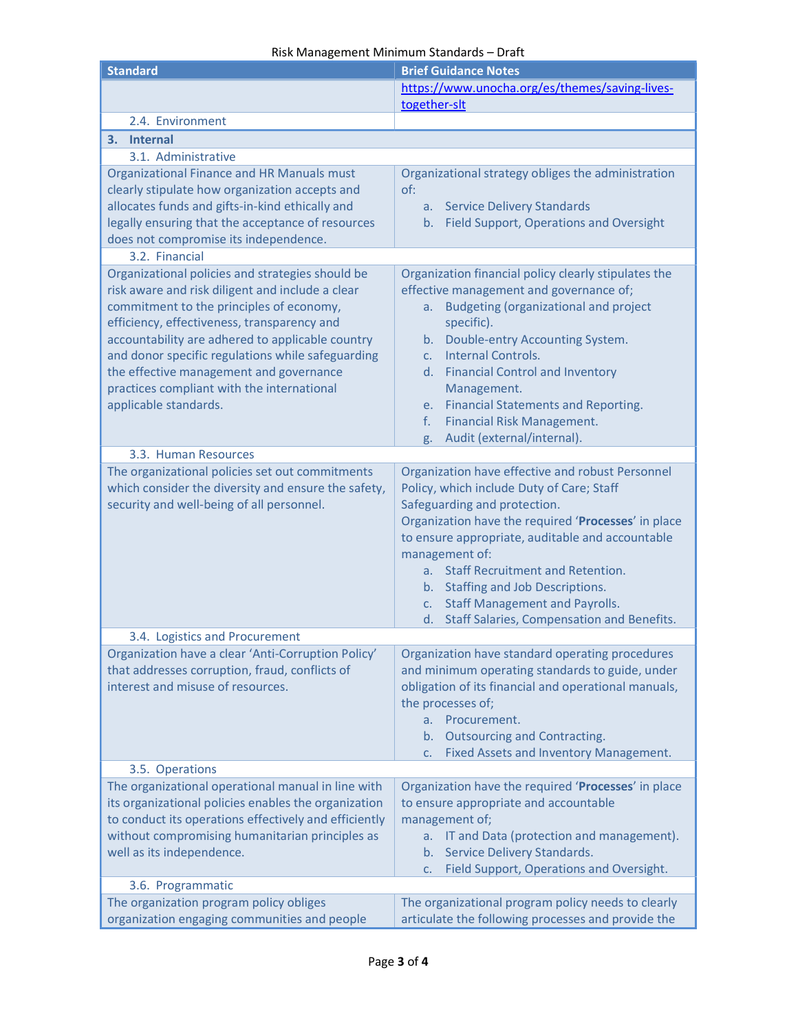## Risk Management Minimum Standards – Draft

| <b>Standard</b>                                                                                                                                                                                                                                                                                                                                                                                                            | <b>Brief Guidance Notes</b>                                                                                                                                                                                                                                                                                                                                                                                                                     |  |
|----------------------------------------------------------------------------------------------------------------------------------------------------------------------------------------------------------------------------------------------------------------------------------------------------------------------------------------------------------------------------------------------------------------------------|-------------------------------------------------------------------------------------------------------------------------------------------------------------------------------------------------------------------------------------------------------------------------------------------------------------------------------------------------------------------------------------------------------------------------------------------------|--|
|                                                                                                                                                                                                                                                                                                                                                                                                                            | https://www.unocha.org/es/themes/saving-lives-<br>together-slt                                                                                                                                                                                                                                                                                                                                                                                  |  |
| 2.4. Environment                                                                                                                                                                                                                                                                                                                                                                                                           |                                                                                                                                                                                                                                                                                                                                                                                                                                                 |  |
| 3. Internal                                                                                                                                                                                                                                                                                                                                                                                                                |                                                                                                                                                                                                                                                                                                                                                                                                                                                 |  |
| 3.1. Administrative                                                                                                                                                                                                                                                                                                                                                                                                        |                                                                                                                                                                                                                                                                                                                                                                                                                                                 |  |
| Organizational Finance and HR Manuals must<br>clearly stipulate how organization accepts and<br>allocates funds and gifts-in-kind ethically and<br>legally ensuring that the acceptance of resources<br>does not compromise its independence.                                                                                                                                                                              | Organizational strategy obliges the administration<br>of:<br>a. Service Delivery Standards<br>b. Field Support, Operations and Oversight                                                                                                                                                                                                                                                                                                        |  |
| 3.2. Financial                                                                                                                                                                                                                                                                                                                                                                                                             |                                                                                                                                                                                                                                                                                                                                                                                                                                                 |  |
| Organizational policies and strategies should be<br>risk aware and risk diligent and include a clear<br>commitment to the principles of economy,<br>efficiency, effectiveness, transparency and<br>accountability are adhered to applicable country<br>and donor specific regulations while safeguarding<br>the effective management and governance<br>practices compliant with the international<br>applicable standards. | Organization financial policy clearly stipulates the<br>effective management and governance of;<br><b>Budgeting (organizational and project</b><br>a.<br>specific).<br>Double-entry Accounting System.<br>b.<br>Internal Controls.<br>C <sub>1</sub><br><b>Financial Control and Inventory</b><br>d.<br>Management.<br><b>Financial Statements and Reporting.</b><br>e.<br>Financial Risk Management.<br>f.<br>Audit (external/internal).<br>g. |  |
| 3.3. Human Resources                                                                                                                                                                                                                                                                                                                                                                                                       |                                                                                                                                                                                                                                                                                                                                                                                                                                                 |  |
| The organizational policies set out commitments<br>which consider the diversity and ensure the safety,<br>security and well-being of all personnel.                                                                                                                                                                                                                                                                        | Organization have effective and robust Personnel<br>Policy, which include Duty of Care; Staff<br>Safeguarding and protection.<br>Organization have the required 'Processes' in place<br>to ensure appropriate, auditable and accountable<br>management of:<br>a. Staff Recruitment and Retention.<br>b. Staffing and Job Descriptions.<br>c. Staff Management and Payrolls.<br>d. Staff Salaries, Compensation and Benefits.                    |  |
| 3.4. Logistics and Procurement                                                                                                                                                                                                                                                                                                                                                                                             |                                                                                                                                                                                                                                                                                                                                                                                                                                                 |  |
| Organization have a clear 'Anti-Corruption Policy'<br>that addresses corruption, fraud, conflicts of<br>interest and misuse of resources.                                                                                                                                                                                                                                                                                  | Organization have standard operating procedures<br>and minimum operating standards to guide, under<br>obligation of its financial and operational manuals,<br>the processes of;<br>a. Procurement.<br>b. Outsourcing and Contracting.<br>Fixed Assets and Inventory Management.<br>C.                                                                                                                                                           |  |
| 3.5. Operations                                                                                                                                                                                                                                                                                                                                                                                                            |                                                                                                                                                                                                                                                                                                                                                                                                                                                 |  |
| The organizational operational manual in line with<br>its organizational policies enables the organization<br>to conduct its operations effectively and efficiently<br>without compromising humanitarian principles as<br>well as its independence.                                                                                                                                                                        | Organization have the required 'Processes' in place<br>to ensure appropriate and accountable<br>management of;<br>IT and Data (protection and management).<br>a.<br>b. Service Delivery Standards.<br>Field Support, Operations and Oversight.<br>C.                                                                                                                                                                                            |  |
| 3.6. Programmatic                                                                                                                                                                                                                                                                                                                                                                                                          |                                                                                                                                                                                                                                                                                                                                                                                                                                                 |  |
| The organization program policy obliges<br>organization engaging communities and people                                                                                                                                                                                                                                                                                                                                    | The organizational program policy needs to clearly<br>articulate the following processes and provide the                                                                                                                                                                                                                                                                                                                                        |  |